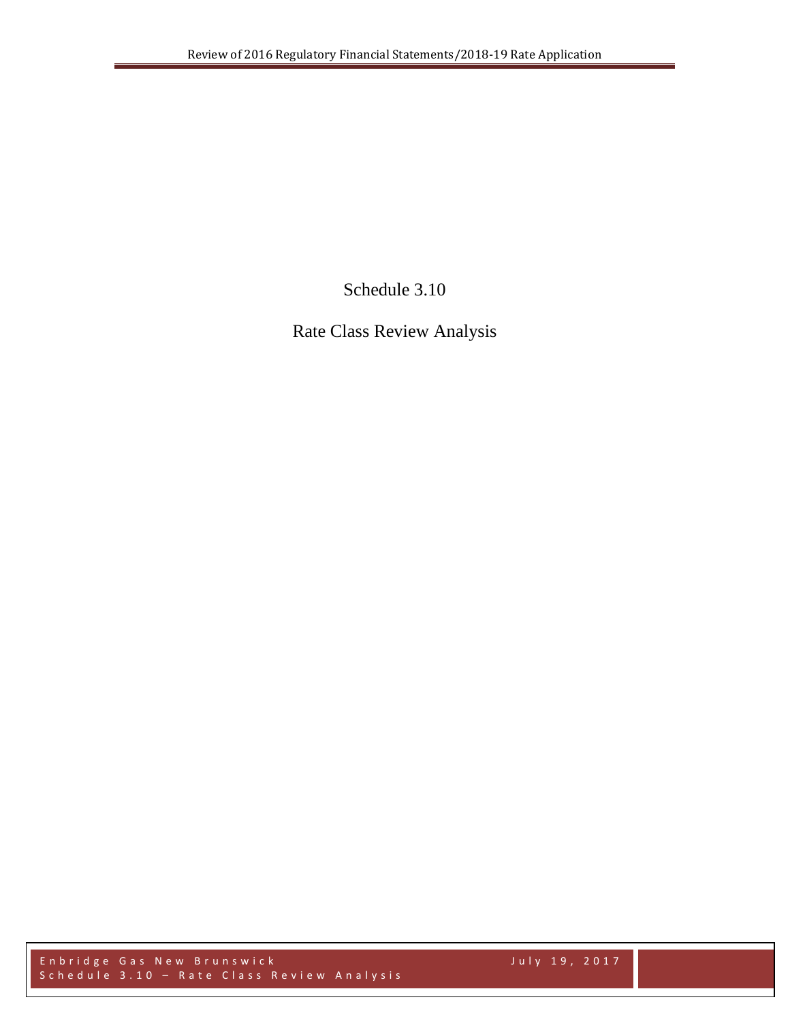Schedule 3.10

Rate Class Review Analysis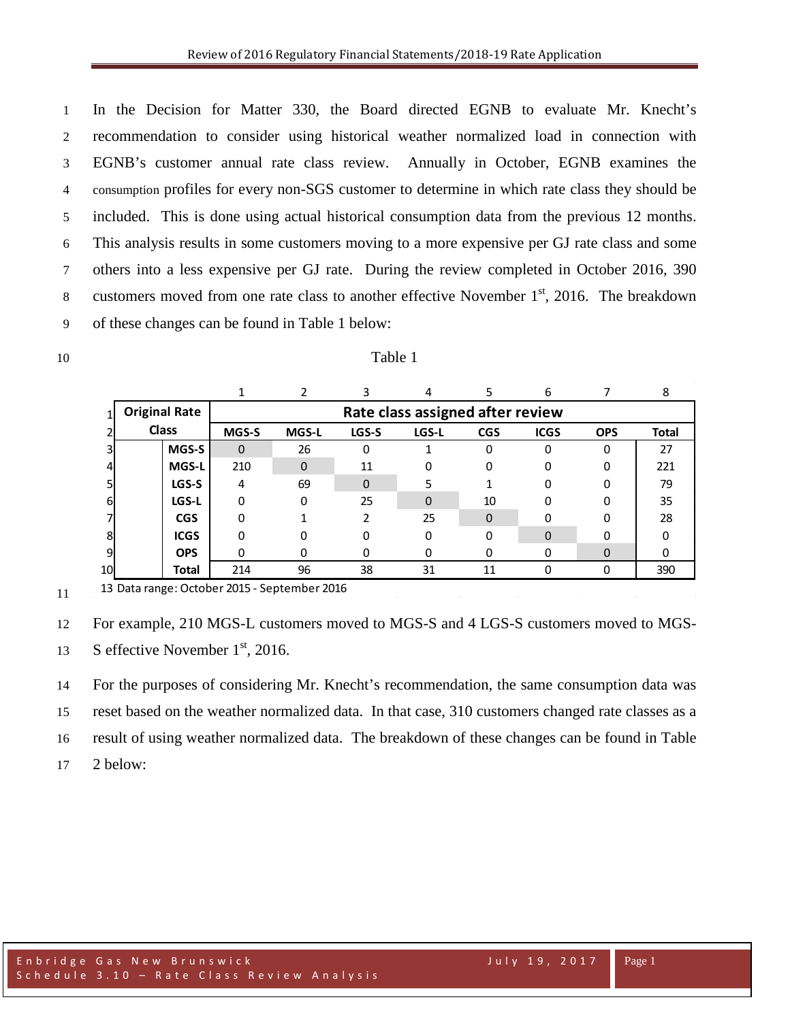In the Decision for Matter 330, the Board directed EGNB to evaluate Mr. Knecht's recommendation to consider using historical weather normalized load in connection with EGNB's customer annual rate class review. Annually in October, EGNB examines the consumption profiles for every non-SGS customer to determine in which rate class they should be included. This is done using actual historical consumption data from the previous 12 months. This analysis results in some customers moving to a more expensive per GJ rate class and some others into a less expensive per GJ rate. During the review completed in October 2016, 390 8 customers moved from one rate class to another effective November  $1<sup>st</sup>$ , 2016. The breakdown of these changes can be found in Table 1 below:

| I<br>× |
|--------|
|--------|

|    |                                      |              |                                  |              |          |       |            | h           |            |              |  |
|----|--------------------------------------|--------------|----------------------------------|--------------|----------|-------|------------|-------------|------------|--------------|--|
|    | <b>Original Rate</b><br><b>Class</b> |              | Rate class assigned after review |              |          |       |            |             |            |              |  |
|    |                                      |              | MGS-S                            | <b>MGS-L</b> | LGS-S    | LGS-L | <b>CGS</b> | <b>ICGS</b> | <b>OPS</b> | <b>Total</b> |  |
|    |                                      | MGS-S        | $\Omega$                         | 26           | 0        |       | 0          | 0           | 0          | 27           |  |
|    |                                      | <b>MGS-L</b> | 210                              | $\Omega$     | 11       | 0     | 0          |             | O          | 221          |  |
|    |                                      | LGS-S        | 4                                | 69           | $\Omega$ |       |            |             |            | 79           |  |
| 6  |                                      | LGS-L        | 0                                | 0            | 25       | 0     | 10         |             | O          | 35           |  |
|    |                                      | <b>CGS</b>   | 0                                |              |          | 25    | $\Omega$   |             |            | 28           |  |
| 8  |                                      | <b>ICGS</b>  | O                                |              |          |       | 0          | 0           |            |              |  |
|    |                                      | <b>OPS</b>   |                                  |              | 0        |       | 0          |             | 0          |              |  |
| 10 |                                      | Total        | 214                              | 96           | 38       | 31    | 11         | ი           |            | 390          |  |

10 Table 1

 Data range: October 2015 - September 2016

13 S effective November  $1<sup>st</sup>$ , 2016.

For the purposes of considering Mr. Knecht's recommendation, the same consumption data was

reset based on the weather normalized data. In that case, 310 customers changed rate classes as a

result of using weather normalized data. The breakdown of these changes can be found in Table

2 below:

For example, 210 MGS-L customers moved to MGS-S and 4 LGS-S customers moved to MGS-